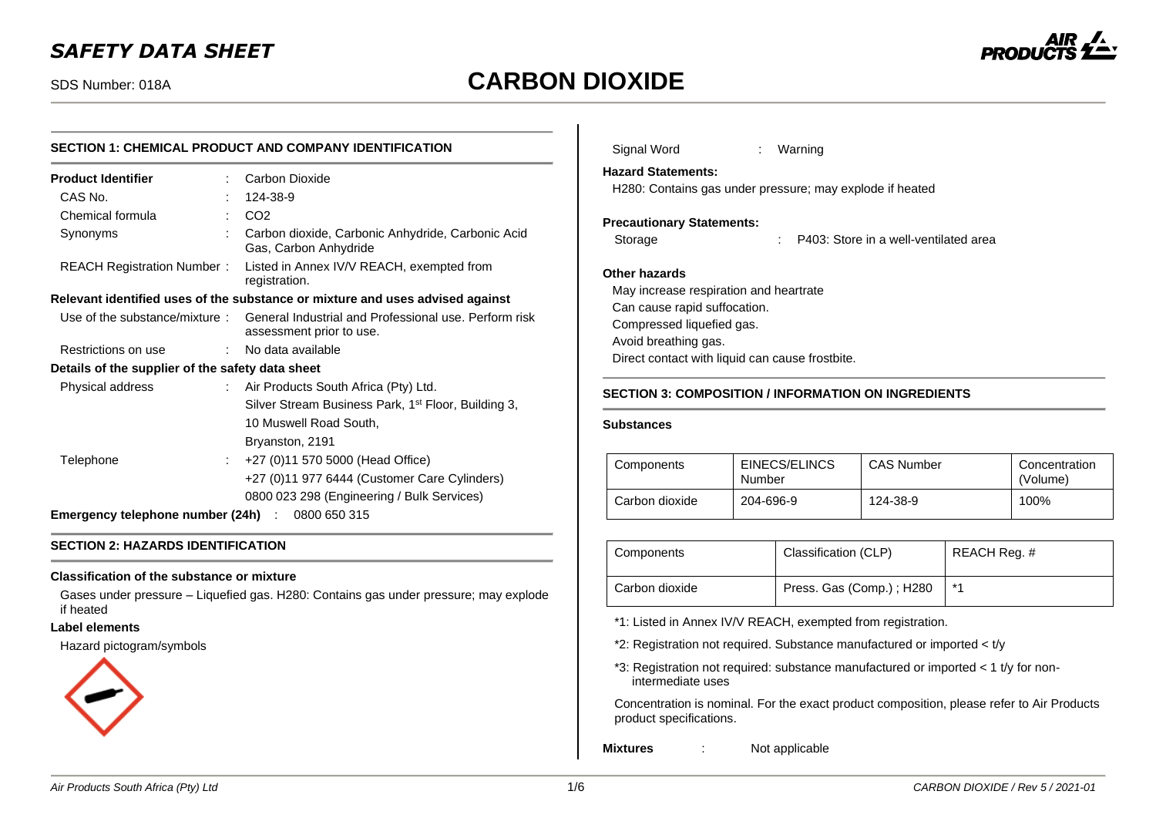# SDS Number: 018A **CARBON DIOXIDE**



# **SECTION 1: CHEMICAL PRODUCT AND COMPANY IDENTIFICATION**

| <b>Product Identifier</b>                        |    | Carbon Dioxide                                                                    |
|--------------------------------------------------|----|-----------------------------------------------------------------------------------|
| CAS No.                                          |    | 124-38-9                                                                          |
| Chemical formula                                 |    | CO <sub>2</sub>                                                                   |
| Synonyms                                         |    | Carbon dioxide, Carbonic Anhydride, Carbonic Acid<br>Gas, Carbon Anhydride        |
| REACH Registration Number:                       |    | Listed in Annex IV/V REACH, exempted from<br>registration.                        |
|                                                  |    | Relevant identified uses of the substance or mixture and uses advised against     |
| Use of the substance/mixture:                    |    | General Industrial and Professional use. Perform risk<br>assessment prior to use. |
| Restrictions on use                              |    | : No data available                                                               |
| Details of the supplier of the safety data sheet |    |                                                                                   |
| Physical address                                 |    | : Air Products South Africa (Pty) Ltd.                                            |
|                                                  |    | Silver Stream Business Park, 1 <sup>st</sup> Floor, Building 3,                   |
|                                                  |    | 10 Muswell Road South,                                                            |
|                                                  |    | Bryanston, 2191                                                                   |
| Telephone                                        | t. | +27 (0)11 570 5000 (Head Office)                                                  |
|                                                  |    | +27 (0)11 977 6444 (Customer Care Cylinders)                                      |
|                                                  |    | 0800 023 298 (Engineering / Bulk Services)                                        |
| Emergency telephone number (24h) : 0800 650 315  |    |                                                                                   |

### **SECTION 2: HAZARDS IDENTIFICATION**

### **Classification of the substance or mixture**

Gases under pressure – Liquefied gas. H280: Contains gas under pressure; may explode if heated

#### **Label elements**

Hazard pictogram/symbols



| Signal Word                                                                                                                                  | Warning<br>t.                                            |  |
|----------------------------------------------------------------------------------------------------------------------------------------------|----------------------------------------------------------|--|
| <b>Hazard Statements:</b>                                                                                                                    | H280: Contains gas under pressure; may explode if heated |  |
| <b>Precautionary Statements:</b>                                                                                                             |                                                          |  |
| Storage                                                                                                                                      | P403: Store in a well-ventilated area<br>t.              |  |
| Other hazards<br>May increase respiration and heartrate<br>Can cause rapid suffocation.<br>Compressed liquefied gas.<br>Avoid breathing gas. | Direct contact with liquid can cause frostbite.          |  |
|                                                                                                                                              | SECTION 3: COMPOSITION / INFORMATION ON INGREDIENTS      |  |

### **SECTION 3: COMPOSITION / INFORMATION ON INGREDIENTS**

### **Substances**

| Components     | EINECS/ELINCS<br>Number | <b>CAS Number</b> | Concentration<br>(Volume) |
|----------------|-------------------------|-------------------|---------------------------|
| Carbon dioxide | 204-696-9               | 124-38-9          | 100%                      |

| Components     | Classification (CLP)     | REACH Reg. # |
|----------------|--------------------------|--------------|
| Carbon dioxide | Press. Gas (Comp.); H280 | $*$ 1        |

\*1: Listed in Annex IV/V REACH, exempted from registration.

\*2: Registration not required. Substance manufactured or imported < t/y

\*3: Registration not required: substance manufactured or imported < 1 t/y for nonintermediate uses

Concentration is nominal. For the exact product composition, please refer to Air Products product specifications.

**Mixtures** : Not applicable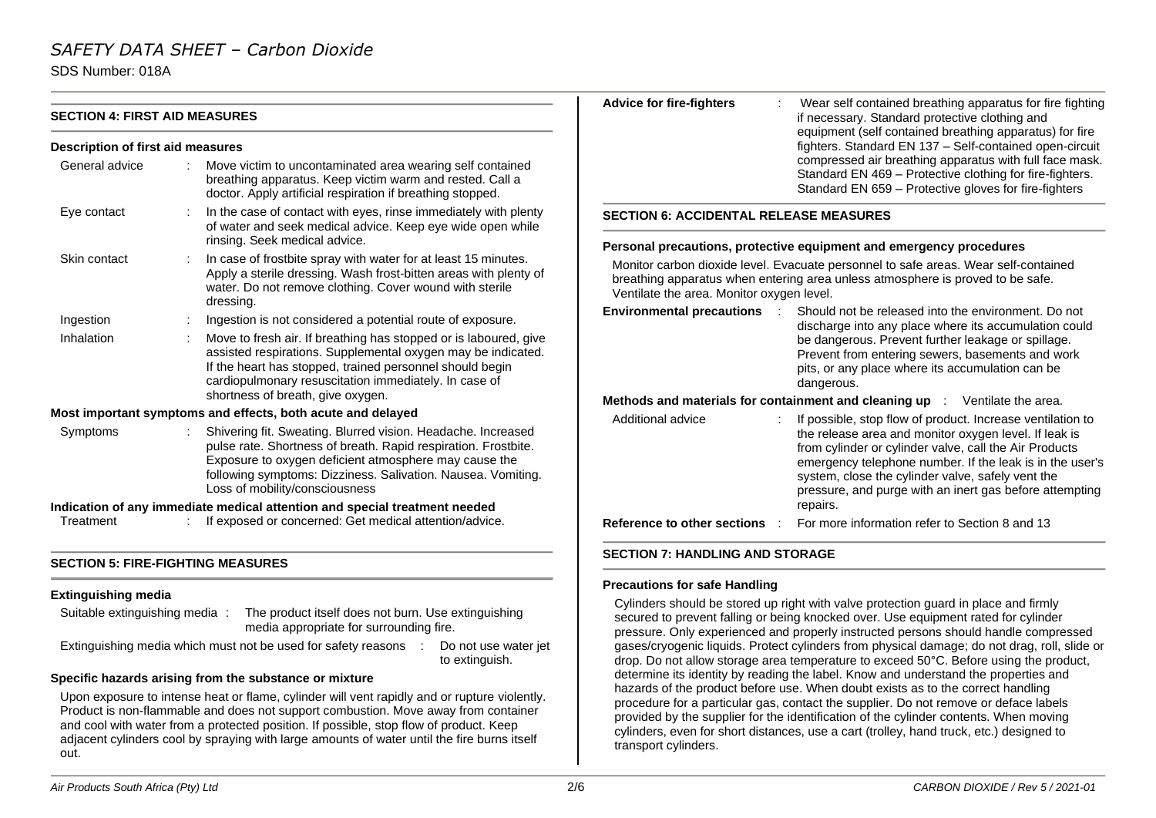SDS Number: 018A

|                                          |                                                                                                                                                                                                                                                                                           | <b>Advice for fire-fighters</b>                                                                                                                                                                                    | Wear self contained breathing apparatus for fire fighting                                                                                                                                                                                                                                   |  |
|------------------------------------------|-------------------------------------------------------------------------------------------------------------------------------------------------------------------------------------------------------------------------------------------------------------------------------------------|--------------------------------------------------------------------------------------------------------------------------------------------------------------------------------------------------------------------|---------------------------------------------------------------------------------------------------------------------------------------------------------------------------------------------------------------------------------------------------------------------------------------------|--|
| <b>SECTION 4: FIRST AID MEASURES</b>     |                                                                                                                                                                                                                                                                                           |                                                                                                                                                                                                                    | if necessary. Standard protective clothing and<br>equipment (self contained breathing apparatus) for fire<br>fighters. Standard EN 137 - Self-contained open-circuit                                                                                                                        |  |
| <b>Description of first aid measures</b> |                                                                                                                                                                                                                                                                                           |                                                                                                                                                                                                                    |                                                                                                                                                                                                                                                                                             |  |
| General advice                           | Move victim to uncontaminated area wearing self contained<br>breathing apparatus. Keep victim warm and rested. Call a<br>doctor. Apply artificial respiration if breathing stopped.                                                                                                       |                                                                                                                                                                                                                    | compressed air breathing apparatus with full face mask.<br>Standard EN 469 - Protective clothing for fire-fighters.<br>Standard EN 659 - Protective gloves for fire-fighters                                                                                                                |  |
| Eye contact                              | In the case of contact with eyes, rinse immediately with plenty<br>of water and seek medical advice. Keep eye wide open while<br>rinsing. Seek medical advice.                                                                                                                            | <b>SECTION 6: ACCIDENTAL RELEASE MEASURES</b>                                                                                                                                                                      |                                                                                                                                                                                                                                                                                             |  |
|                                          |                                                                                                                                                                                                                                                                                           |                                                                                                                                                                                                                    | Personal precautions, protective equipment and emergency procedures                                                                                                                                                                                                                         |  |
| Skin contact                             | In case of frostbite spray with water for at least 15 minutes.<br>Apply a sterile dressing. Wash frost-bitten areas with plenty of<br>water. Do not remove clothing. Cover wound with sterile<br>dressing.                                                                                | Monitor carbon dioxide level. Evacuate personnel to safe areas. Wear self-contained<br>breathing apparatus when entering area unless atmosphere is proved to be safe.<br>Ventilate the area. Monitor oxygen level. |                                                                                                                                                                                                                                                                                             |  |
| Ingestion                                | Ingestion is not considered a potential route of exposure.                                                                                                                                                                                                                                | <b>Environmental precautions :</b>                                                                                                                                                                                 | Should not be released into the environment. Do not                                                                                                                                                                                                                                         |  |
| Inhalation                               | Move to fresh air. If breathing has stopped or is laboured, give                                                                                                                                                                                                                          |                                                                                                                                                                                                                    | discharge into any place where its accumulation could                                                                                                                                                                                                                                       |  |
|                                          | assisted respirations. Supplemental oxygen may be indicated.<br>If the heart has stopped, trained personnel should begin<br>cardiopulmonary resuscitation immediately. In case of                                                                                                         |                                                                                                                                                                                                                    | be dangerous. Prevent further leakage or spillage.<br>Prevent from entering sewers, basements and work<br>pits, or any place where its accumulation can be<br>dangerous.                                                                                                                    |  |
|                                          | shortness of breath, give oxygen.                                                                                                                                                                                                                                                         |                                                                                                                                                                                                                    | Methods and materials for containment and cleaning up : Ventilate the area.                                                                                                                                                                                                                 |  |
|                                          | Most important symptoms and effects, both acute and delayed                                                                                                                                                                                                                               | Additional advice                                                                                                                                                                                                  | If possible, stop flow of product. Increase ventilation to                                                                                                                                                                                                                                  |  |
| Symptoms                                 | Shivering fit. Sweating. Blurred vision. Headache. Increased<br>pulse rate. Shortness of breath. Rapid respiration. Frostbite.<br>Exposure to oxygen deficient atmosphere may cause the<br>following symptoms: Dizziness. Salivation. Nausea. Vomiting.<br>Loss of mobility/consciousness |                                                                                                                                                                                                                    | the release area and monitor oxygen level. If leak is<br>from cylinder or cylinder valve, call the Air Products<br>emergency telephone number. If the leak is in the user's<br>system, close the cylinder valve, safely vent the<br>pressure, and purge with an inert gas before attempting |  |
|                                          | Indication of any immediate medical attention and special treatment needed                                                                                                                                                                                                                |                                                                                                                                                                                                                    | repairs.                                                                                                                                                                                                                                                                                    |  |
| Treatment                                | If exposed or concerned: Get medical attention/advice.                                                                                                                                                                                                                                    | Reference to other sections :                                                                                                                                                                                      | For more information refer to Section 8 and 13                                                                                                                                                                                                                                              |  |
| <b>SECTION 5: FIRE-FIGHTING MEASURES</b> |                                                                                                                                                                                                                                                                                           | <b>SECTION 7: HANDLING AND STORAGE</b>                                                                                                                                                                             |                                                                                                                                                                                                                                                                                             |  |
|                                          |                                                                                                                                                                                                                                                                                           |                                                                                                                                                                                                                    |                                                                                                                                                                                                                                                                                             |  |
| <b>Extinguishing media</b>               |                                                                                                                                                                                                                                                                                           | <b>Precautions for safe Handling</b>                                                                                                                                                                               |                                                                                                                                                                                                                                                                                             |  |
| Suitable extinguishing media:            | The product itself does not burn. Use extinguishing                                                                                                                                                                                                                                       |                                                                                                                                                                                                                    | Cylinders should be stored up right with valve protection guard in place and firmly<br>secured to prevent falling or being knocked over I lse equipment rated for cylinder                                                                                                                  |  |

media appropriate for surrounding fire. Extinguishing media which must not be used for safety reasons : Do not use water jet to extinguish. Upon exposure to intense heat or flame, cylinder will vent rapidly and or rupture violently. Product is non-flammable and does not support combustion. Move away from container and cool with water from a protected position. If possible, stop flow of product. Keep secured to prevent falling or being knocked over. Use equipment rated for cylinder pressure. Only experienced and properly instructed persons should handle compressed gases/cryogenic liquids. Protect cylinders from physical damage; do not drag, roll, slide or drop. Do not allow storage area temperature to exceed 50°C. Before using the product, determine its identity by reading the label. Know and understand the properties and hazards of the product before use. When doubt exists as to the correct handling procedure for a particular gas, contact the supplier. Do not remove or deface labels provided by the supplier for the identification of the cylinder contents. When moving

transport cylinders.

cylinders, even for short distances, use a cart (trolley, hand truck, etc.) designed to

out.

**Specific hazards arising from the substance or mixture**

adjacent cylinders cool by spraying with large amounts of water until the fire burns itself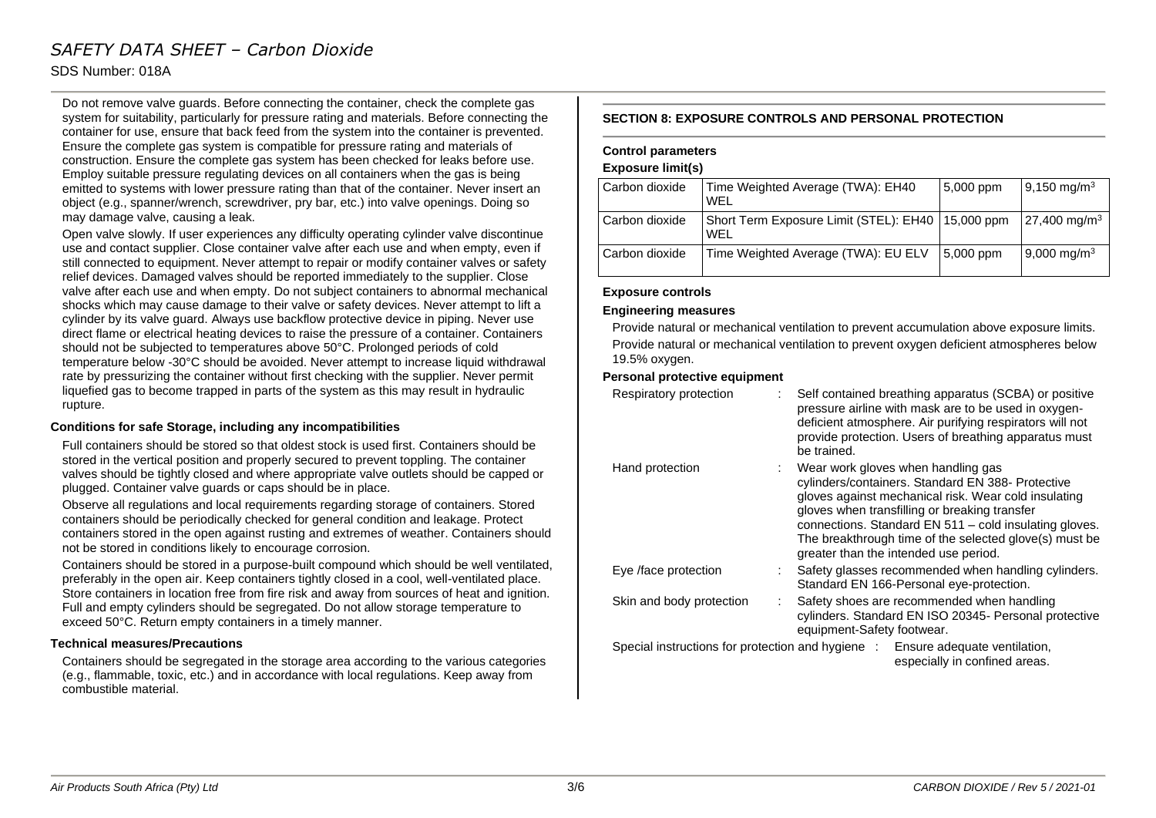### SDS Number: 018A

Do not remove valve guards. Before connecting the container, check the complete gas system for suitability, particularly for pressure rating and materials. Before connecting the container for use, ensure that back feed from the system into the container is prevented. Ensure the complete gas system is compatible for pressure rating and materials of construction. Ensure the complete gas system has been checked for leaks before use. Employ suitable pressure regulating devices on all containers when the gas is being emitted to systems with lower pressure rating than that of the container. Never insert an object (e.g., spanner/wrench, screwdriver, pry bar, etc.) into valve openings. Doing so may damage valve, causing a leak.

Open valve slowly. If user experiences any difficulty operating cylinder valve discontinue use and contact supplier. Close container valve after each use and when empty, even if still connected to equipment. Never attempt to repair or modify container valves or safety relief devices. Damaged valves should be reported immediately to the supplier. Close valve after each use and when empty. Do not subject containers to abnormal mechanical shocks which may cause damage to their valve or safety devices. Never attempt to lift a cylinder by its valve guard. Always use backflow protective device in piping. Never use direct flame or electrical heating devices to raise the pressure of a container. Containers should not be subjected to temperatures above 50°C. Prolonged periods of cold temperature below -30°C should be avoided. Never attempt to increase liquid withdrawal rate by pressurizing the container without first checking with the supplier. Never permit liquefied gas to become trapped in parts of the system as this may result in hydraulic rupture.

### **Conditions for safe Storage, including any incompatibilities**

Full containers should be stored so that oldest stock is used first. Containers should be stored in the vertical position and properly secured to prevent toppling. The container valves should be tightly closed and where appropriate valve outlets should be capped or plugged. Container valve guards or caps should be in place.

Observe all regulations and local requirements regarding storage of containers. Stored containers should be periodically checked for general condition and leakage. Protect containers stored in the open against rusting and extremes of weather. Containers should not be stored in conditions likely to encourage corrosion.

Containers should be stored in a purpose-built compound which should be well ventilated, preferably in the open air. Keep containers tightly closed in a cool, well-ventilated place. Store containers in location free from fire risk and away from sources of heat and ignition. Full and empty cylinders should be segregated. Do not allow storage temperature to exceed 50°C. Return empty containers in a timely manner.

### **Technical measures/Precautions**

Containers should be segregated in the storage area according to the various categories (e.g., flammable, toxic, etc.) and in accordance with local regulations. Keep away from combustible material.

### **SECTION 8: EXPOSURE CONTROLS AND PERSONAL PROTECTION**

### **Control parameters**

### **Exposure limit(s)**

| Carbon dioxide | Time Weighted Average (TWA): EH40<br><b>WFI</b>            | $5,000$ ppm | $9,150 \text{ mg/m}^3$  |
|----------------|------------------------------------------------------------|-------------|-------------------------|
| Carbon dioxide | Short Term Exposure Limit (STEL): EH40   15,000 ppm<br>WFL |             | $27,400 \text{ mg/m}^3$ |
| Carbon dioxide | Time Weighted Average (TWA): EU ELV                        | 5,000 ppm   | 9,000 mg/m <sup>3</sup> |

#### **Exposure controls**

### **Engineering measures**

Provide natural or mechanical ventilation to prevent accumulation above exposure limits. Provide natural or mechanical ventilation to prevent oxygen deficient atmospheres below 19.5% oxygen.

### **Personal protective equipment**

| Respiratory protection   | Self contained breathing apparatus (SCBA) or positive<br>pressure airline with mask are to be used in oxygen-<br>deficient atmosphere. Air purifying respirators will not<br>provide protection. Users of breathing apparatus must<br>be trained.                                                                                                             |
|--------------------------|---------------------------------------------------------------------------------------------------------------------------------------------------------------------------------------------------------------------------------------------------------------------------------------------------------------------------------------------------------------|
| Hand protection          | Wear work gloves when handling gas<br>cylinders/containers. Standard EN 388- Protective<br>gloves against mechanical risk. Wear cold insulating<br>gloves when transfilling or breaking transfer<br>connections. Standard EN 511 - cold insulating gloves.<br>The breakthrough time of the selected glove(s) must be<br>greater than the intended use period. |
| Eye /face protection     | Safety glasses recommended when handling cylinders.<br>Standard EN 166-Personal eye-protection.                                                                                                                                                                                                                                                               |
| Skin and body protection | Safety shoes are recommended when handling<br>cylinders. Standard EN ISO 20345- Personal protective<br>equipment-Safety footwear.                                                                                                                                                                                                                             |
|                          | Special instructions for protection and hygiene : Ensure adequate ventilation,<br>especially in confined areas.                                                                                                                                                                                                                                               |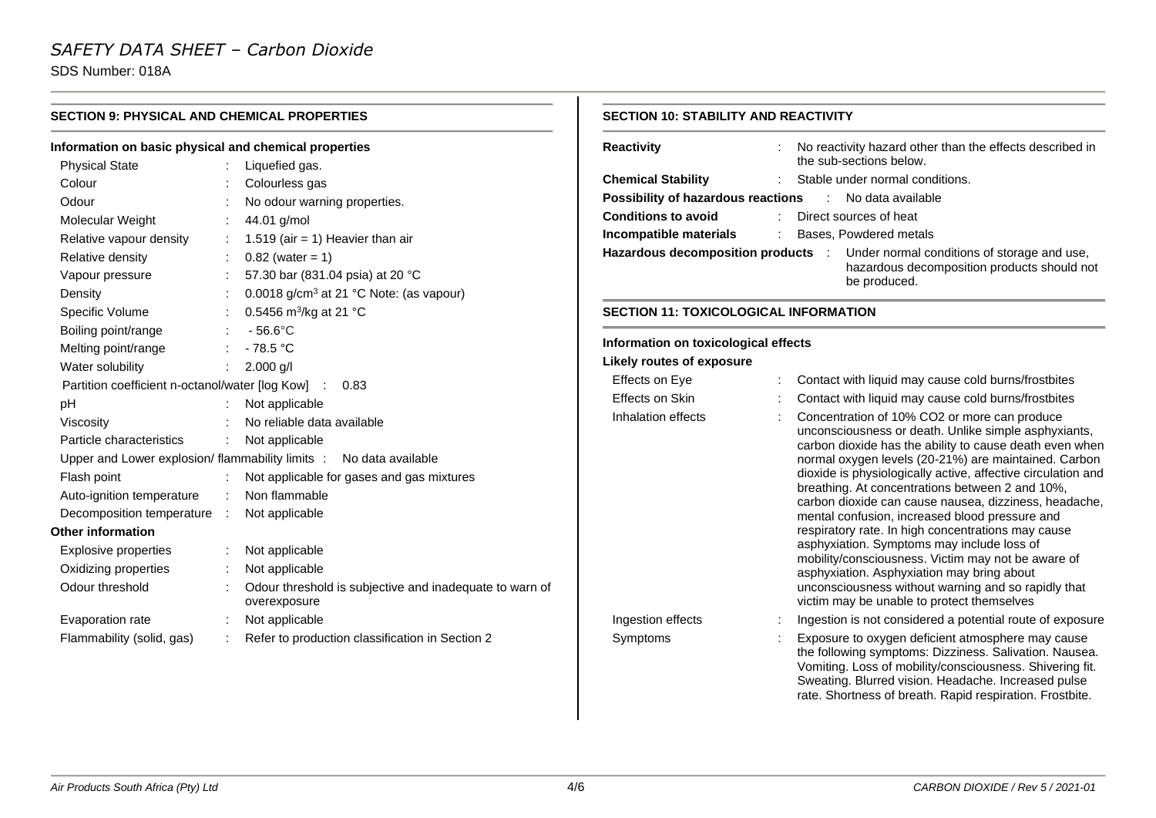SDS Number: 018A

| <b>SECTION 9: PHYSICAL AND CHEMICAL PROPERTIES</b>    |  |                                                                         | <b>SECTION 10: STABILITY AND REACTIVITY</b>  |  |                                                                                                                                                                                                                                |
|-------------------------------------------------------|--|-------------------------------------------------------------------------|----------------------------------------------|--|--------------------------------------------------------------------------------------------------------------------------------------------------------------------------------------------------------------------------------|
| Information on basic physical and chemical properties |  |                                                                         | <b>Reactivity</b>                            |  | No reactivity hazard other than the effects described in                                                                                                                                                                       |
| <b>Physical State</b>                                 |  | Liquefied gas.                                                          |                                              |  | the sub-sections below.                                                                                                                                                                                                        |
| Colour                                                |  | Colourless gas                                                          | <b>Chemical Stability</b>                    |  | Stable under normal conditions.                                                                                                                                                                                                |
| Odour                                                 |  | No odour warning properties.                                            | Possibility of hazardous reactions           |  | No data available<br>$\sim 100$                                                                                                                                                                                                |
| Molecular Weight                                      |  | 44.01 g/mol                                                             | <b>Conditions to avoid</b>                   |  | Direct sources of heat                                                                                                                                                                                                         |
| Relative vapour density                               |  | 1.519 (air = 1) Heavier than air                                        | Incompatible materials                       |  | Bases, Powdered metals                                                                                                                                                                                                         |
| Relative density                                      |  | $0.82$ (water = 1)                                                      | Hazardous decomposition products :           |  | Under normal conditions of storage and use,                                                                                                                                                                                    |
| Vapour pressure                                       |  | 57.30 bar (831.04 psia) at 20 °C                                        |                                              |  | hazardous decomposition products should not<br>be produced.                                                                                                                                                                    |
| Density                                               |  | 0.0018 g/cm <sup>3</sup> at 21 °C Note: (as vapour)                     |                                              |  |                                                                                                                                                                                                                                |
| Specific Volume                                       |  | 0.5456 $m^3/kg$ at 21 °C                                                | <b>SECTION 11: TOXICOLOGICAL INFORMATION</b> |  |                                                                                                                                                                                                                                |
| Boiling point/range                                   |  | $-56.6^{\circ}$ C                                                       |                                              |  |                                                                                                                                                                                                                                |
| Melting point/range                                   |  | $-78.5 °C$                                                              | Information on toxicological effects         |  |                                                                                                                                                                                                                                |
| Water solubility                                      |  | $2.000$ g/l                                                             | <b>Likely routes of exposure</b>             |  |                                                                                                                                                                                                                                |
| Partition coefficient n-octanol/water [log Kow] :     |  | 0.83                                                                    | Effects on Eye                               |  | Contact with liquid may cause cold burns/frostbites                                                                                                                                                                            |
| pH                                                    |  | Not applicable                                                          | Effects on Skin                              |  | Contact with liquid may cause cold burns/frostbites                                                                                                                                                                            |
| Viscosity                                             |  | No reliable data available                                              | Inhalation effects                           |  | Concentration of 10% CO2 or more can produce                                                                                                                                                                                   |
| Particle characteristics                              |  | Not applicable                                                          |                                              |  | unconsciousness or death. Unlike simple asphyxiants,<br>carbon dioxide has the ability to cause death even when                                                                                                                |
|                                                       |  | Upper and Lower explosion/ flammability limits : No data available      |                                              |  | normal oxygen levels (20-21%) are maintained. Carbon                                                                                                                                                                           |
| Flash point                                           |  | Not applicable for gases and gas mixtures                               |                                              |  | dioxide is physiologically active, affective circulation and                                                                                                                                                                   |
| Auto-ignition temperature                             |  | Non flammable                                                           |                                              |  | breathing. At concentrations between 2 and 10%,<br>carbon dioxide can cause nausea, dizziness, headache,                                                                                                                       |
| Decomposition temperature :                           |  | Not applicable                                                          |                                              |  | mental confusion, increased blood pressure and                                                                                                                                                                                 |
| <b>Other information</b>                              |  |                                                                         |                                              |  | respiratory rate. In high concentrations may cause                                                                                                                                                                             |
| Explosive properties                                  |  | Not applicable                                                          |                                              |  | asphyxiation. Symptoms may include loss of                                                                                                                                                                                     |
| Oxidizing properties                                  |  | Not applicable                                                          |                                              |  | mobility/consciousness. Victim may not be aware of<br>asphyxiation. Asphyxiation may bring about                                                                                                                               |
| Odour threshold                                       |  | Odour threshold is subjective and inadequate to warn of<br>overexposure |                                              |  | unconsciousness without warning and so rapidly that<br>victim may be unable to protect themselves                                                                                                                              |
| Evaporation rate                                      |  | Not applicable                                                          | Ingestion effects                            |  | Ingestion is not considered a potential route of exposure                                                                                                                                                                      |
| Flammability (solid, gas)                             |  | Refer to production classification in Section 2                         | Symptoms                                     |  | Exposure to oxygen deficient atmosphere may cause<br>the following symptoms: Dizziness. Salivation. Nausea.<br>Vomiting. Loss of mobility/consciousness. Shivering fit.<br>Sweating. Blurred vision. Headache. Increased pulse |

rate. Shortness of breath. Rapid respiration. Frostbite.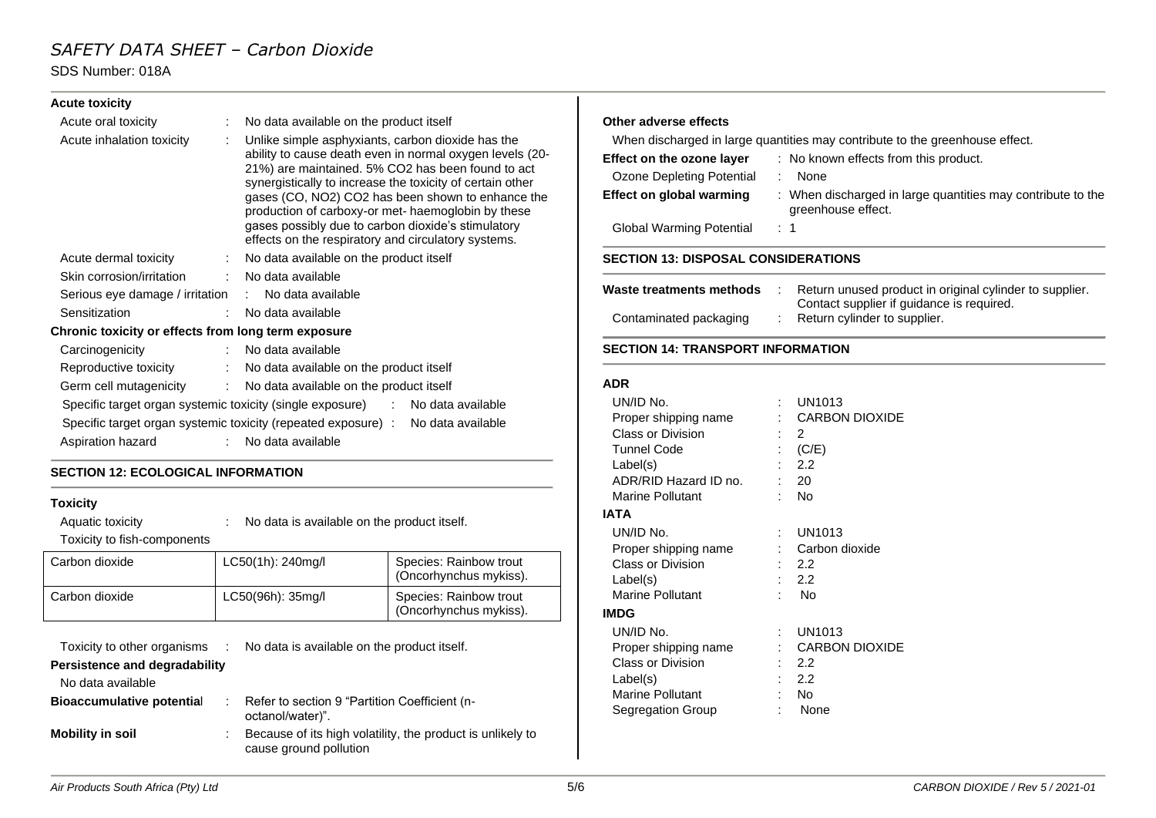### SDS Number: 018A

| <b>Acute toxicity</b>                               |                                                                                                                                                                                                                                                                                                                                                                                                                                                         |                                                               |
|-----------------------------------------------------|---------------------------------------------------------------------------------------------------------------------------------------------------------------------------------------------------------------------------------------------------------------------------------------------------------------------------------------------------------------------------------------------------------------------------------------------------------|---------------------------------------------------------------|
| Acute oral toxicity                                 | : No data available on the product itself                                                                                                                                                                                                                                                                                                                                                                                                               | Other a                                                       |
| Acute inhalation toxicity                           | Unlike simple asphyxiants, carbon dioxide has the<br>ability to cause death even in normal oxygen levels (20-<br>21%) are maintained. 5% CO2 has been found to act<br>synergistically to increase the toxicity of certain other<br>gases (CO, NO2) CO2 has been shown to enhance the<br>production of carboxy-or met- haemoglobin by these<br>gases possibly due to carbon dioxide's stimulatory<br>effects on the respiratory and circulatory systems. | When<br><b>Effect o</b><br>Ozone<br><b>Effect o</b><br>Global |
| Acute dermal toxicity                               | : No data available on the product itself                                                                                                                                                                                                                                                                                                                                                                                                               | <b>SECTIO</b>                                                 |
| Skin corrosion/irritation                           | : No data available                                                                                                                                                                                                                                                                                                                                                                                                                                     |                                                               |
| Serious eye damage / irritation : No data available |                                                                                                                                                                                                                                                                                                                                                                                                                                                         | Waste ti                                                      |
| Sensitization                                       | : No data available                                                                                                                                                                                                                                                                                                                                                                                                                                     | Contar                                                        |
| Chronic toxicity or effects from long term exposure |                                                                                                                                                                                                                                                                                                                                                                                                                                                         |                                                               |
| Carcinogenicity                                     | : No data available                                                                                                                                                                                                                                                                                                                                                                                                                                     | <b>SECTIO</b>                                                 |
| Reproductive toxicity                               | : No data available on the product itself                                                                                                                                                                                                                                                                                                                                                                                                               |                                                               |
| Germ cell mutagenicity                              | : No data available on the product itself                                                                                                                                                                                                                                                                                                                                                                                                               | <b>ADR</b>                                                    |
|                                                     | Specific target organ systemic toxicity (single exposure) : No data available                                                                                                                                                                                                                                                                                                                                                                           | UN/ID                                                         |
|                                                     | Specific target organ systemic toxicity (repeated exposure) : No data available                                                                                                                                                                                                                                                                                                                                                                         | Proper                                                        |
| Aspiration hazard                                   | : No data available                                                                                                                                                                                                                                                                                                                                                                                                                                     | Class<br>Tunnel                                               |

### **SECTION 12: ECOLOGICAL INFORMATION**

### **Toxicity**

| Aquatic toxicity<br>Toxicity to fish-components | No data is available on the product itself. |                   |                                                 |
|-------------------------------------------------|---------------------------------------------|-------------------|-------------------------------------------------|
| Carbon dioxide                                  |                                             | LC50(1h): 240mg/l | Species: Rainbow trout<br>(Oncorhynchus mykiss) |

|                |                   | (Oncorhynchus mykiss).                           |
|----------------|-------------------|--------------------------------------------------|
| Carbon dioxide | LC50(96h): 35mg/l | Species: Rainbow trout<br>(Oncorhynchus mykiss). |

| Toxicity to other organisms :    | No data is available on the product itself.                                          |
|----------------------------------|--------------------------------------------------------------------------------------|
| Persistence and degradability    |                                                                                      |
| No data available                |                                                                                      |
| <b>Bioaccumulative potential</b> | Refer to section 9 "Partition Coefficient (n-<br>octanol/water)".                    |
| <b>Mobility in soil</b><br>÷     | Because of its high volatility, the product is unlikely to<br>cause ground pollution |

### **Other adverse effects**

discharged in large quantities may contribute to the greenhouse effect.

| <b>SECTION 13: DISPOSAL CONSIDERATIONS</b> |                                                                                   |  |  |  |
|--------------------------------------------|-----------------------------------------------------------------------------------|--|--|--|
| <b>Global Warming Potential</b>            | $\therefore$ 1                                                                    |  |  |  |
| Effect on global warming                   | : When discharged in large quantities may contribute to the<br>greenhouse effect. |  |  |  |
| Ozone Depleting Potential                  | None                                                                              |  |  |  |
| Effect on the ozone layer                  | : No known effects from this product.                                             |  |  |  |

| Waste treatments methods |  | Return unused product in original cylinder to supplier.                   |
|--------------------------|--|---------------------------------------------------------------------------|
| Contaminated packaging   |  | Contact supplier if guidance is required.<br>Return cylinder to supplier. |

### **SECTION 14: TRANSPORT INFORMATION**

| UN/ID No.               | UN1013                |
|-------------------------|-----------------------|
| Proper shipping name    | <b>CARBON DIOXIDE</b> |
| Class or Division       | 2                     |
| Tunnel Code             | (C/E)                 |
| Label(s)                | 2.2                   |
| ADR/RID Hazard ID no.   | 20                    |
| <b>Marine Pollutant</b> | No                    |
| IATA                    |                       |
| UN/ID No.               | UN1013                |
| Proper shipping name    | Carbon dioxide        |
| Class or Division       | 2.2                   |
| Label(s)                | 2.2                   |
| <b>Marine Pollutant</b> | No                    |
| <b>IMDG</b>             |                       |
| UN/ID No.               | UN1013                |
| Proper shipping name    | <b>CARBON DIOXIDE</b> |
| Class or Division       | 2.2                   |
| Label(s)                | 2.2                   |
| <b>Marine Pollutant</b> | No                    |
| Segregation Group       | None                  |
|                         |                       |